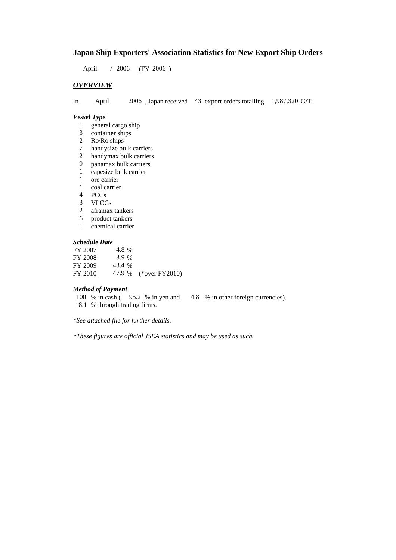### **Japan Ship Exporters' Association Statistics for New Export Ship Orders**

April / 2006 (FY 2006)

#### *OVERVIEW*

In April 2006 , Japan received 43 export orders totalling 1,987,320 G/T.

#### *Vessel Type*

- 1 general cargo ship
- 3 container ships
- 2 Ro/Ro ships
- 7 handysize bulk carriers
- 2 handymax bulk carriers
- 9 panamax bulk carriers<br>1 capesize bulk carrier
- capesize bulk carrier
- 1 ore carrier
- 1 coal carrier
- 4 PCCs
- 3 VLCCs
- 2 aframax tankers
- 6 product tankers
- 1 chemical carrier

#### *Schedule Date*

| FY 2007 | 4.8 %  |                       |
|---------|--------|-----------------------|
| FY 2008 | 3.9 %  |                       |
| FY 2009 | 43.4 % |                       |
| FY 2010 |        | 47.9 % (*over FY2010) |

#### *Method of Payment*

100 % in cash ( 95.2 % in yen and 4.8 % in other foreign currencies). 18.1 % through trading firms.

*\*See attached file for further details.*

*\*These figures are official JSEA statistics and may be used as such.*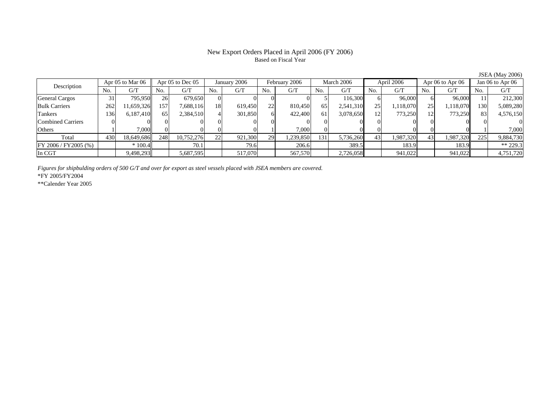# Based on Fiscal Year

Description Apr 05 to Mar 06 Apr 05 to Dec 05 January 2006 February 2006 March 2006 April 2006 Apr 06 to Apr 06 Jan 06 to Apr 06 No. $No.$   $G/T$ T || No. | G/T || No. | G/T || No. | G/T || No. | G/T || G/T || No. | G/T || No. | G/T || No. | G/T General Cargos | 31 795,950|| 26| 679,650| 0| 0| 0| 0| 5| 116,300| 6| 96,000| 6| 96,000|| 11| 212,300 Bulk Carriers 2622| 11,659,326|| 157| 7,688,116| 18| 619,450| 22| 810,450| 65| 2,541,310| 25| 1,118,070| 25| 1,118,070|| 130| 5,089,280 Tankers 1366| 6,187,410|| 65| 2,384,510| 4| 301,850| 6| 422,400| 61| 3,078,650| 12| 773,250| 12| 773,250|| 83| 4,576,150 Combined Carriers 1 0 0 0 0 0 0 0 0 0 0 0 0 0 0 0 0 **Others**  $\sim$  1  $\sim$  1 1 7,000 이 이 이 이 1 7,000 이 이 이 이 이 이 1 7,000 Total 4300| 18,649,686|| 248| 10,752,276| 22| 921,300| 29| 1,239,850| 131| 5,736,260| 43| 1,987,320| 43| 1,987,320|| 225| 9,884,730 FY 2006 / FY2005 (%) \* 100.4 70.1 70.1 79.6 206.6 389.5 183.9 183.9 183.9 \*\* 229.3 In CGT9,498,293 5,687,595 517,070 567,570 2,726,058 941,022 941,022 4,751,720

*Figures for shipbulding orders of 500 G/T and over for export as steel vessels placed with JSEA members are covered.*

\*FY 2005/FY2004

\*\*Calender Year 2005

JSEA (May 2006)

# New Export Orders Placed in April 2006 (FY 2006)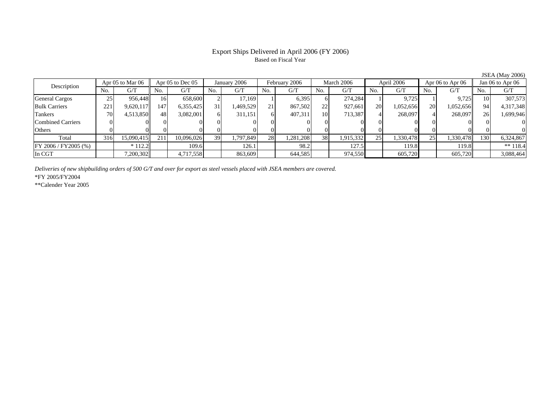# Based on Fiscal Year

Description Apr 05 to Mar 06 Apr 05 to Dec 05 January 2006 February 2006 March 2006 April 2006 Apr 06 to Apr 06 Jan 06 to Apr 06<br>No. 1 G/T No. 1 G/T No. 1 G/T No. 1 G/T No. 1 G/T No. 1 G/T No. 1 G/T No. 1 G/T No. 1 G/T No. No.  $G/T$ T || No. | G/T || No. | G/T || No. | G/T || No. | G/T || G/T || No. | G/T || No. | G/T || No. | G/T General Cargos ( 25 956,448 16 658,600 2 17,169 1 6,395 6 274,284 1 9,725 1 9,725 10 307,573 Bulk Carriers 221 9,620,117 147 6,355,425 31 1,469,529 21 867,502 22 927,661 20 1,052,656 20 1,052,656 94 4,317,348 Tankers 700| 4,513,850|| 48| 3,082,001| 6| 311,151| 6| 407,311| 10| 713,387| 4| 268,097| 4| 268,097|| 26| 1,699,946 Combined Carriers 0 0 0 0 0 0 0 0 0 0 0 0 0 0 0 0 **Others** s and  $\overline{\phantom{a}}$  0 0 0 0 0 0 0 0 0 0 0 0 0 0 0 0 Total 3166| 15,090,415|| 211| 10,096,026| 39| 1,797,849| 28| 1,281,208| 38| 1,915,332| 25| 1,330,478| 25| 1,330,478| 130| 6,324,867 FY 2006 / FY2005 (%) \* 112.2 109.6 126.1 98.2 127.5 119.8 119.8 \*\* 118.4 In CGT7,200,302 4,717,558 863,609 644,585 974,550 605,720 605,720 3,088,464

*Deliveries of new shipbuilding orders of 500 G/T and over for export as steel vessels placed with JSEA members are covered.*

\*FY 2005/FY2004

\*\*Calender Year 2005

JSEA (May 2006)

# Export Ships Delivered in April 2006 (FY 2006)